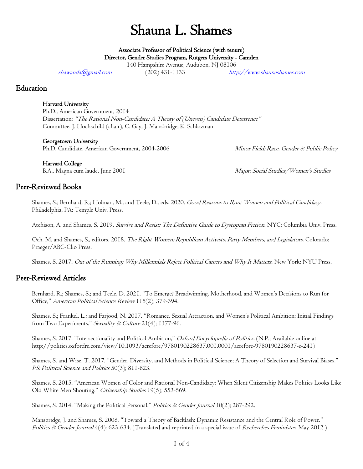# Shauna L. Shames

Associate Professor of Political Science (with tenure) Director, Gender Studies Program, Rutgers University - Camden

140 Hampshire Avenue, Audubon, NJ 08106

[shawanda@gmail.com](mailto:shawanda@gmail.com) (202) 431-1133 http://www.shaunashames.com

### Education

#### Harvard University

Ph.D., American Government, 2014 Dissertation: "The Rational Non-Candidate: A Theory of (Uneven) Candidate Deterrence" Committee: J. Hochschild (chair), C. Gay, J. Mansbridge, K. Schlozman

#### Georgetown University

Ph.D. Candidate, American Government, 2004-2006 Minor Field: Race, Gender & Public Policy

Harvard College

B.A., Magna cum laude, June 2001 Major: Social Studies/Women's Studies

## Peer-Reviewed Books

Shames, S.; Bernhard, R.; Holman, M., and Teele, D., eds. 2020. Good Reasons to Run: Women and Political Candidacy. Philadelphia, PA: Temple Univ. Press.

Atchison, A. and Shames, S. 2019. Survive and Resist: The Definitive Guide to Dystopian Fiction. NYC: Columbia Univ. Press.

Och, M. and Shames, S., editors. 2018. The Right Women: Republican Activists, Party Members, and Legislators. Colorado: Praeger/ABC-Clio Press.

Shames, S. 2017. Out of the Running: Why Millennials Reject Political Careers and Why It Matters. New York: NYU Press.

# Peer-Reviewed Articles

Bernhard, R.; Shames, S.; and Teele, D. 2021. "To Emerge? Breadwinning, Motherhood, and Women's Decisions to Run for Office," American Political Science Review 115(2); 379-394.

Shames, S.; Frankel, L.; and Farjood, N. 2017. "Romance, Sexual Attraction, and Women's Political Ambition: Initial Findings from Two Experiments." Sexuality & Culture 21(4); 1177-96.

Shames, S. 2017. "Intersectionality and Political Ambition," Oxford Encyclopedia of Politics. (N.P.; Available online at http://politics.oxfordre.com/view/10.1093/acrefore/9780190228637.001.0001/acrefore-9780190228637-e-241)

Shames, S. and Wise, T. 2017. "Gender, Diversity, and Methods in Political Science; A Theory of Selection and Survival Biases." PS: Political Science and Politics 50(3); 811-823.

Shames, S. 2015. "American Women of Color and Rational Non-Candidacy: When Silent Citizenship Makes Politics Looks Like Old White Men Shouting." Citizenship Studies 19(5); 553-569.

Shames, S. 2014. "Making the Political Personal." Politics & Gender Journal 10(2); 287-292.

Mansbridge, J. and Shames, S. 2008. "Toward a Theory of Backlash: Dynamic Resistance and the Central Role of Power." Politics & Gender Journal 4(4): 623-634. (Translated and reprinted in a special issue of Recherches Feministes, May 2012.)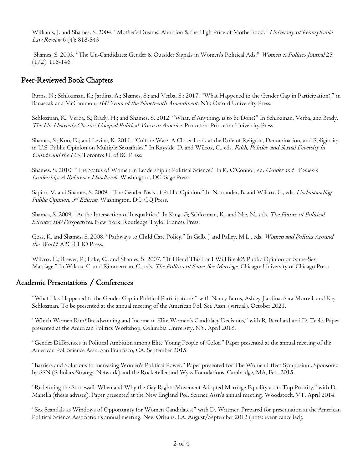Williams, J. and Shames, S. 2004. "Mother's Dreams: Abortion & the High Price of Motherhood." University of Pennsylvania Law Review 6 (4): 818-843

Shames, S. 2003. "The Un-Candidates: Gender & Outsider Signals in Women's Political Ads." Women & Politics Journal 25  $(1/2)$ : 115-146.

## Peer-Reviewed Book Chapters

Burns, N.; Schlozman, K.; Jardina, A.; Shames, S.; and Verba, S.: 2017. "What Happened to the Gender Gap in Participation?," in Banaszak and McCammon, 100 Years of the Nineteenth Amendment. NY: Oxford University Press.

Schlozman, K.; Verba, S.; Brady, H.; and Shames, S. 2012. "What, if Anything, is to be Done?" In Schlozman, Verba, and Brady, The Un-Heavenly Chorus: Unequal Political Voice in America. Princeton: Princeton University Press.

Shames, S.; Kuo, D.; and Levine, K. 2011. "Culture War?: A Closer Look at the Role of Religion, Denomination, and Religiosity in U.S. Public Opinion on Multiple Sexualities." In Rayside, D. and Wilcox, C., eds. Faith, Politics, and Sexual Diversity in Canada and the U.S. Toronto: U. of BC Press.

Shames, S. 2010. "The Status of Women in Leadership in Political Science." In K. O'Connor, ed. Gender and Women's Leadership: A Reference Handbook. Washington, DC: Sage Press

Sapiro, V. and Shames, S. 2009. "The Gender Basis of Public Opinion." In Norrander, B. and Wilcox, C., eds. Understanding Public Opinion, 3<sup>rd</sup> Edition. Washington, DC: CQ Press.

Shames, S. 2009. "At the Intersection of Inequalities." In King, G; Schlozman, K., and Nie, N., eds. The Future of Political Science: 100 Perspectives. New York: Routledge Taylor Frances Press.

Goss, K. and Shames, S. 2008. "Pathways to Child Care Policy." In Gelb, J and Palley, M.L., eds. Women and Politics Around the World. ABC-CLIO Press.

Wilcox, C.; Brewer, P.; Lake, C., and Shames, S. 2007. "'If I Bend This Far I Will Break?': Public Opinion on Same-Sex Marriage." In Wilcox, C. and Rimmerman, C., eds. *The Politics of Same-Sex Marriage*. Chicago: University of Chicago Press

# Academic Presentations / Conferences

"What Has Happened to the Gender Gap in Political Participation?," with Nancy Burns, Ashley Jiardina, Sara Morrell, and Kay Schlozman. To be presented at the annual meeting of the American Pol. Sci. Assn. (virtual), October 2021.

"Which Women Run? Breadwinning and Income in Elite Women's Candidacy Decisions," with R. Bernhard and D. Teele. Paper presented at the American Politics Workshop, Columbia University, NY. April 2018.

"Gender Differences in Political Ambition among Elite Young People of Color." Paper presented at the annual meeting of the American Pol. Science Assn. San Francisco, CA. September 2015.

"Barriers and Solutions to Increasing Women's Political Power." Paper presented for The Women Effect Symposium, Sponsored by SSN (Scholars Strategy Network) and the Rockefeller and Wyss Foundations. Cambridge, MA, Feb. 2015.

"Redefining the Stonewall: When and Why the Gay Rights Movement Adopted Marriage Equality as its Top Priority," with D. Manella (thesis advisee). Paper presented at the New England Pol. Science Assn's annual meeting. Woodstock, VT. April 2014.

"Sex Scandals as Windows of Opportunity for Women Candidates?" with D. Wittmer. Prepared for presentation at the American Political Science Association's annual meeting. New Orleans, LA. August/September 2012 (note: event cancelled).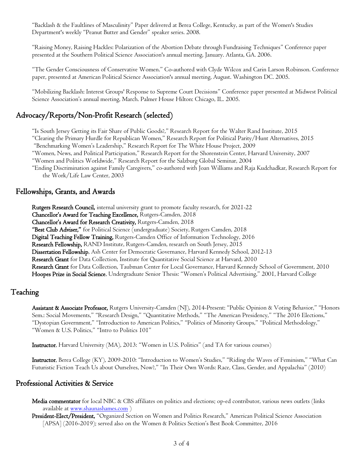"Backlash & the Faultlines of Masculinity" Paper delivered at Berea College, Kentucky, as part of the Women's Studies Department's weekly "Peanut Butter and Gender" speaker series. 2008.

"Raising Money, Raising Hackles: Polarization of the Abortion Debate through Fundraising Techniques" Conference paper presented at the Southern Political Science Association's annual meeting, January. Atlanta, GA. 2006.

"The Gender Consciousness of Conservative Women." Co-authored with Clyde Wilcox and Carin Larson Robinson. Conference paper, presented at American Political Science Association's annual meeting, August. Washington DC. 2005.

"Mobilizing Backlash: Interest Groups' Response to Supreme Court Decisions" Conference paper presented at Midwest Political Science Association's annual meeting, March. Palmer House Hilton: Chicago, IL. 2005.

# Advocacy/Reports/Non-Profit Research (selected)

"Is South Jersey Getting its Fair Share of Public Goods?," Research Report for the Walter Rand Institute, 2015 "Clearing the Primary Hurdle for Republican Women," Research Report for Political Parity/Hunt Alternatives, 2015 "Benchmarking Women's Leadership," Research Report for The White House Project, 2009 "Women, News, and Political Participation," Research Report for the Shorenstein Center, Harvard University, 2007 "Women and Politics Worldwide," Research Report for the Salzburg Global Seminar, 2004 "Ending Discrimination against Family Caregivers," co-authored with Joan Williams and Raja Kudchadkar, Research Report for

the Work/Life Law Center, 2003

#### Fellowships, Grants, and Awards

Rutgers Research Council, internal university grant to promote faculty research, for 2021-22 Chancellor's Award for Teaching Excellence, Rutgers-Camden, 2018 Chancellor's Award for Research Creativity, Rutgers-Camden, 2018 "Best Club Adviser," for Political Science (undergraduate) Society, Rutgers Camden, 2018 Digital Teaching Fellow Training, Rutgers-Camden Office of Information Technology, 2016 Research Fellowship, RAND Institute, Rutgers-Camden, research on South Jersey, 2015 Dissertation Fellowship, Ash Center for Democratic Governance, Harvard Kennedy School, 2012-13 Research Grant for Data Collection, Institute for Quantitative Social Science at Harvard, 2010 Research Grant for Data Collection, Taubman Center for Local Governance, Harvard Kennedy School of Government, 2010 Hoopes Prize in Social Science, Undergraduate Senior Thesis: "Women's Political Advertising," 2001, Harvard College

#### Teaching

Assistant & Associate Professor, Rutgers University-Camden (NJ), 2014-Present: "Public Opinion & Voting Behavior," "Honors Sem.: Social Movements," "Research Design," "Quantitative Methods," "The American Presidency," "The 2016 Elections," "Dystopian Government," "Introduction to American Politics," "Politics of Minority Groups," "Political Methodology," "Women & U.S. Politics," "Intro to Politics 101"

Instructor, Harvard University (MA), 2013: "Women in U.S. Politics" (and TA for various courses)

Instructor, Berea College (KY), 2009-2010: "Introduction to Women's Studies," "Riding the Waves of Feminism," "What Can Futuristic Fiction Teach Us about Ourselves, Now?," "In Their Own Words: Race, Class, Gender, and Appalachia" (2010)

#### Professional Activities & Service

Media commentator for local NBC & CBS affiliates on politics and elections; op-ed contributor, various news outlets (links available at [www.shaunashames.com](http://www.shaunashames.com/) )

President-Elect/President, "Organized Section on Women and Politics Research," American Political Science Association [APSA] (2016-2019); served also on the Women & Politics Section's Best Book Committee, 2016